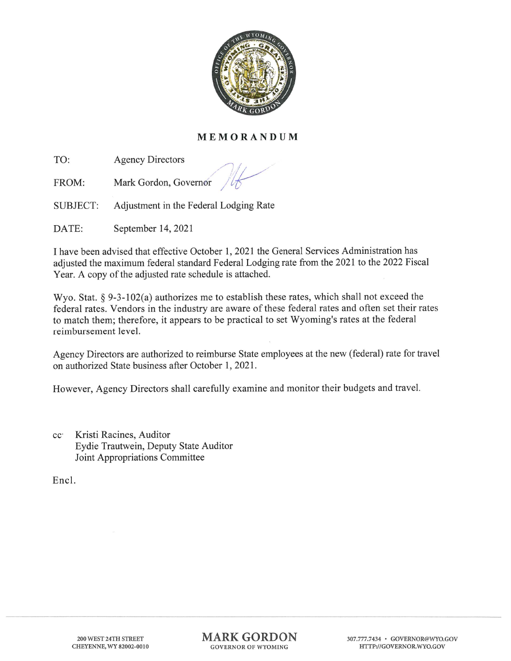

## MEMORANDUM

TO: Agency Directors

FROM: Mark Gordon, Governor

SUBJECT: Adjustment in the Federal Lodging Rate

DATE: September 14, 2021

I have been advised that effective October 1, 2021 the General Services Administration has adjusted the maximum federal standard Federal Lodging rate from the 2021 to the 2022 Fiscal Year. A copy of the adjusted rate schedule is attached.

Wyo. Stat. § 9-3-102(a) authorizes me to establish these rates, which shall not exceed the federal rates. Vendors in the industry are aware of these federal rates and often set their rates to match them; therefore, it appears to be practical to set Wyoming's rates at the federal reimbursement level.

Agency Directors are authorized to reimburse State employees at the new (federal) rate for travel on authorized State business after October 1, 2021.

However, Agency Directors shall carefully examine and monitor their budgets and travel.

ec- Kristi Racines, Auditor Eydie Trautwein, Deputy State Auditor Joint Appropriations Committee

Encl.

MARK GORDON GOVERNOR OF WYOMING